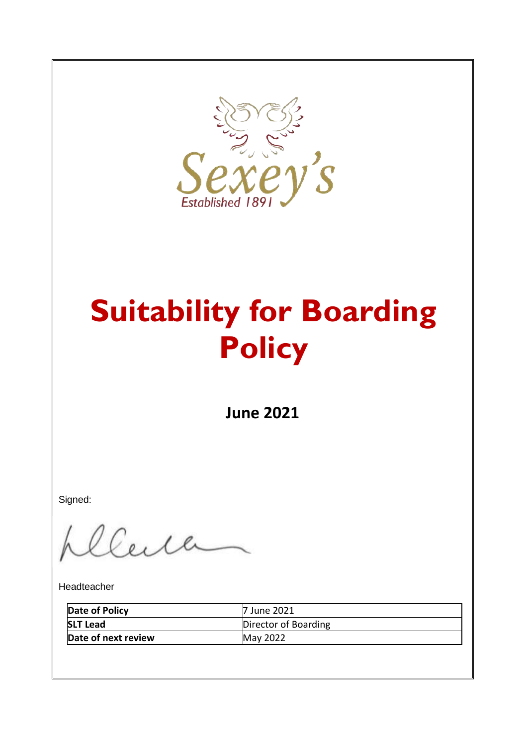

# **Suitability for Boarding Policy**

**June 2021**

Signed:

Euch

Headteacher

| Date of Policy      | 7 June 2021          |
|---------------------|----------------------|
| <b>SLT Lead</b>     | Director of Boarding |
| Date of next review | <b>May 2022</b>      |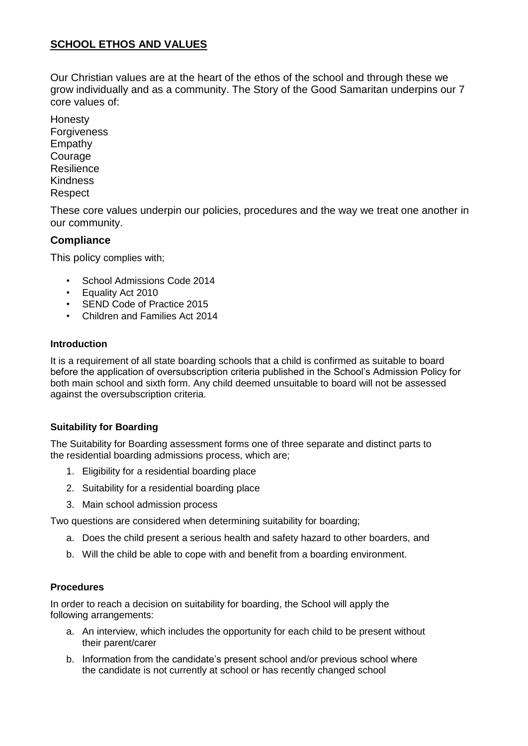## **SCHOOL ETHOS AND VALUES**

Our Christian values are at the heart of the ethos of the school and through these we grow individually and as a community. The Story of the Good Samaritan underpins our 7 core values of:

Honesty **Forgiveness** Empathy **Courage Resilience Kindness Respect** 

These core values underpin our policies, procedures and the way we treat one another in our community.

### **Compliance**

This policy complies with;

- School Admissions Code 2014
- Equality Act 2010
- SEND Code of Practice 2015
- Children and Families Act 2014

#### **Introduction**

It is a requirement of all state boarding schools that a child is confirmed as suitable to board before the application of oversubscription criteria published in the School's Admission Policy for both main school and sixth form. Any child deemed unsuitable to board will not be assessed against the oversubscription criteria.

#### **Suitability for Boarding**

The Suitability for Boarding assessment forms one of three separate and distinct parts to the residential boarding admissions process, which are;

- 1. Eligibility for a residential boarding place
- 2. Suitability for a residential boarding place
- 3. Main school admission process

Two questions are considered when determining suitability for boarding;

- a. Does the child present a serious health and safety hazard to other boarders, and
- b. Will the child be able to cope with and benefit from a boarding environment.

#### **Procedures**

In order to reach a decision on suitability for boarding, the School will apply the following arrangements:

- a. An interview, which includes the opportunity for each child to be present without their parent/carer
- b. Information from the candidate's present school and/or previous school where the candidate is not currently at school or has recently changed school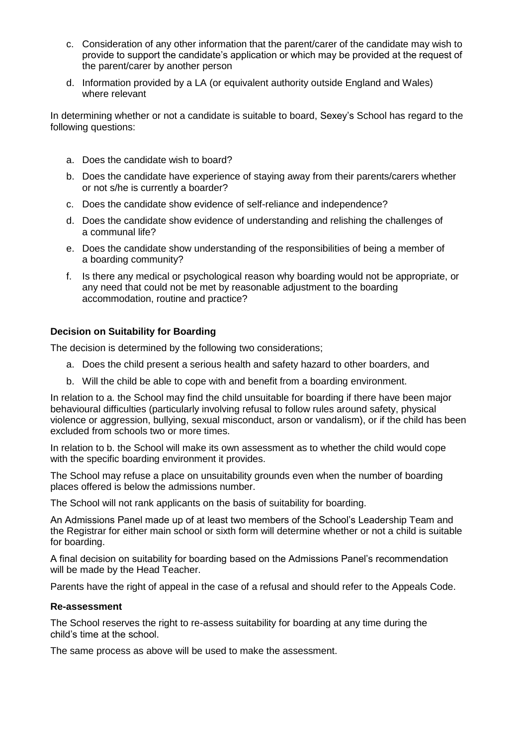- c. Consideration of any other information that the parent/carer of the candidate may wish to provide to support the candidate's application or which may be provided at the request of the parent/carer by another person
- d. Information provided by a LA (or equivalent authority outside England and Wales) where relevant

In determining whether or not a candidate is suitable to board, Sexey's School has regard to the following questions:

- a. Does the candidate wish to board?
- b. Does the candidate have experience of staying away from their parents/carers whether or not s/he is currently a boarder?
- c. Does the candidate show evidence of self-reliance and independence?
- d. Does the candidate show evidence of understanding and relishing the challenges of a communal life?
- e. Does the candidate show understanding of the responsibilities of being a member of a boarding community?
- f. Is there any medical or psychological reason why boarding would not be appropriate, or any need that could not be met by reasonable adjustment to the boarding accommodation, routine and practice?

#### **Decision on Suitability for Boarding**

The decision is determined by the following two considerations;

- a. Does the child present a serious health and safety hazard to other boarders, and
- b. Will the child be able to cope with and benefit from a boarding environment.

In relation to a. the School may find the child unsuitable for boarding if there have been major behavioural difficulties (particularly involving refusal to follow rules around safety, physical violence or aggression, bullying, sexual misconduct, arson or vandalism), or if the child has been excluded from schools two or more times.

In relation to b. the School will make its own assessment as to whether the child would cope with the specific boarding environment it provides.

The School may refuse a place on unsuitability grounds even when the number of boarding places offered is below the admissions number.

The School will not rank applicants on the basis of suitability for boarding.

An Admissions Panel made up of at least two members of the School's Leadership Team and the Registrar for either main school or sixth form will determine whether or not a child is suitable for boarding.

A final decision on suitability for boarding based on the Admissions Panel's recommendation will be made by the Head Teacher.

Parents have the right of appeal in the case of a refusal and should refer to the Appeals Code.

#### **Re-assessment**

The School reserves the right to re-assess suitability for boarding at any time during the child's time at the school.

The same process as above will be used to make the assessment.